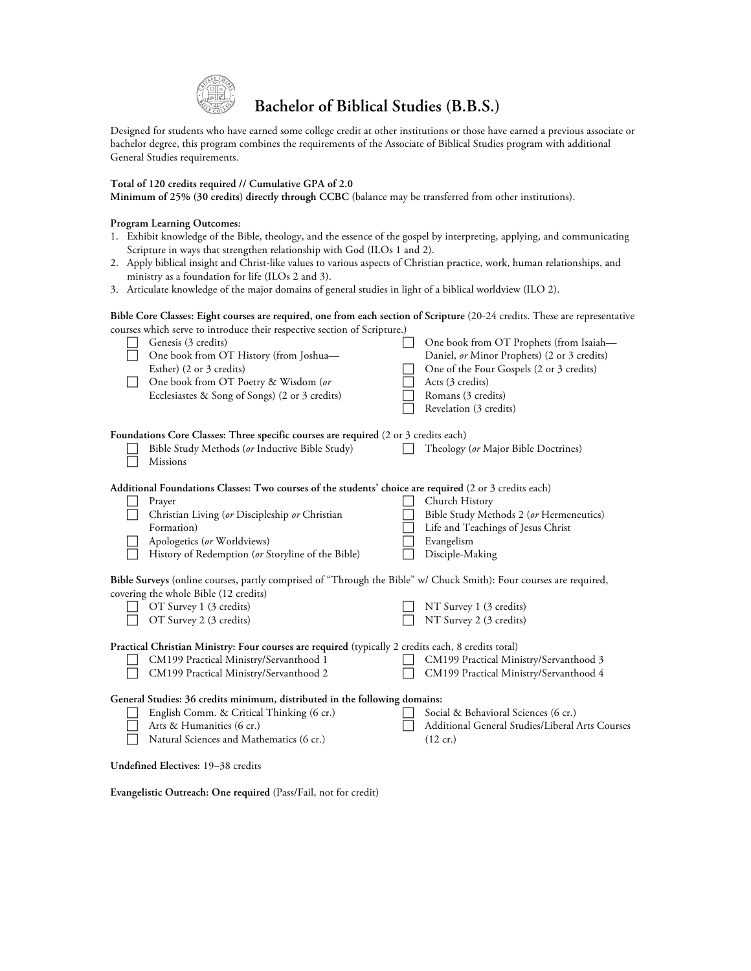

# **Bachelor of Biblical Studies (B.B.S.)**

Designed for students who have earned some college credit at other institutions or those have earned a previous associate or bachelor degree, this program combines the requirements of the Associate of Biblical Studies program with additional General Studies requirements.

### **Total of 120 credits required // Cumulative GPA of 2.0**

**Minimum of 25% (30 credits) directly through CCBC** (balance may be transferred from other institutions).

## **Program Learning Outcomes:**

- 1. Exhibit knowledge of the Bible, theology, and the essence of the gospel by interpreting, applying, and communicating Scripture in ways that strengthen relationship with God (ILOs 1 and 2).
- 2. Apply biblical insight and Christ-like values to various aspects of Christian practice, work, human relationships, and ministry as a foundation for life (ILOs 2 and 3).
- 3. Articulate knowledge of the major domains of general studies in light of a biblical worldview (ILO 2).

#### **Bible Core Classes: Eight courses are required, one from each section of Scripture** (20-24 credits. These are representative courses which serve to introduce their respective section of Scripture.)

|                                                                                                                                                             | Genesis (3 credits)<br>One book from OT History (from Joshua-<br>Esther) (2 or 3 credits) |  | One book from OT Prophets (from Isaiah-<br>Daniel, or Minor Prophets) (2 or 3 credits)<br>One of the Four Gospels (2 or 3 credits) |
|-------------------------------------------------------------------------------------------------------------------------------------------------------------|-------------------------------------------------------------------------------------------|--|------------------------------------------------------------------------------------------------------------------------------------|
|                                                                                                                                                             | One book from OT Poetry & Wisdom (or                                                      |  | Acts (3 credits)                                                                                                                   |
|                                                                                                                                                             | Ecclesiastes & Song of Songs) (2 or 3 credits)                                            |  | Romans (3 credits)                                                                                                                 |
|                                                                                                                                                             |                                                                                           |  | Revelation (3 credits)                                                                                                             |
| Foundations Core Classes: Three specific courses are required (2 or 3 credits each)                                                                         |                                                                                           |  |                                                                                                                                    |
|                                                                                                                                                             | Bible Study Methods (or Inductive Bible Study)<br>Missions                                |  | Theology (or Major Bible Doctrines)                                                                                                |
| Additional Foundations Classes: Two courses of the students' choice are required (2 or 3 credits each)                                                      |                                                                                           |  |                                                                                                                                    |
|                                                                                                                                                             | Prayer                                                                                    |  | Church History                                                                                                                     |
|                                                                                                                                                             | Christian Living (or Discipleship or Christian                                            |  | Bible Study Methods 2 (or Hermeneutics)                                                                                            |
|                                                                                                                                                             | Formation)                                                                                |  | Life and Teachings of Jesus Christ                                                                                                 |
|                                                                                                                                                             | Apologetics (or Worldviews)                                                               |  | Evangelism                                                                                                                         |
|                                                                                                                                                             | History of Redemption (or Storyline of the Bible)                                         |  | Disciple-Making                                                                                                                    |
| Bible Surveys (online courses, partly comprised of "Through the Bible" w/ Chuck Smith): Four courses are required,<br>covering the whole Bible (12 credits) |                                                                                           |  |                                                                                                                                    |
|                                                                                                                                                             | OT Survey 1 (3 credits)                                                                   |  | NT Survey 1 (3 credits)                                                                                                            |
|                                                                                                                                                             | OT Survey 2 (3 credits)                                                                   |  | NT Survey 2 (3 credits)                                                                                                            |
| Practical Christian Ministry: Four courses are required (typically 2 credits each, 8 credits total)                                                         |                                                                                           |  |                                                                                                                                    |
|                                                                                                                                                             | CM199 Practical Ministry/Servanthood 1                                                    |  | CM199 Practical Ministry/Servanthood 3                                                                                             |
|                                                                                                                                                             | CM199 Practical Ministry/Servanthood 2                                                    |  | CM199 Practical Ministry/Servanthood 4                                                                                             |
| General Studies: 36 credits minimum, distributed in the following domains:                                                                                  |                                                                                           |  |                                                                                                                                    |
|                                                                                                                                                             | English Comm. & Critical Thinking (6 cr.)                                                 |  | Social & Behavioral Sciences (6 cr.)                                                                                               |
|                                                                                                                                                             | Arts & Humanities (6 cr.)                                                                 |  | Additional General Studies/Liberal Arts Courses                                                                                    |
|                                                                                                                                                             | Natural Sciences and Mathematics (6 cr.)                                                  |  | $(12 \text{ cr.})$                                                                                                                 |
| Undefined Electives: 19-38 credits                                                                                                                          |                                                                                           |  |                                                                                                                                    |

**Evangelistic Outreach: One required** (Pass/Fail, not for credit)